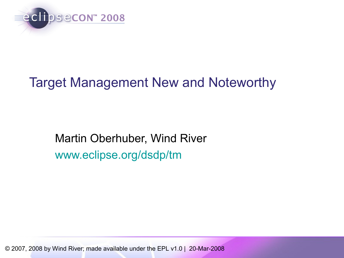

## Target Management New and Noteworthy

Martin Oberhuber, Wind River [www.eclipse.org/dsdp/tm](http://www.eclipse.org/dsdp/tm)

© 2007, 2008 by Wind River; made available under the EPL v1.0 | 20-Mar-2008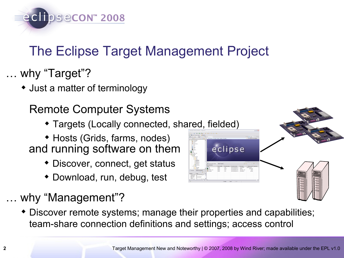

# The Eclipse Target Management Project

… why "Target"?

Just a matter of terminology

Remote Computer Systems

- Targets (Locally connected, shared, fielded)
- Hosts (Grids, farms, nodes) and running software on them
	- Discover, connect, get status
	- Download, run, debug, test
- why "Management"?
	- Discover remote systems; manage their properties and capabilities; team-share connection definitions and settings; access control

eclipse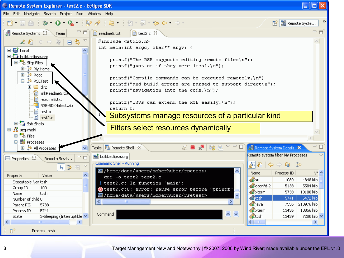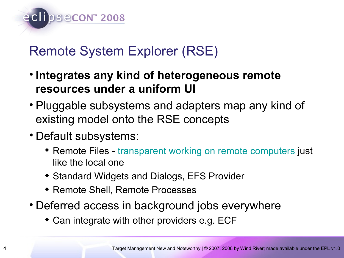

## Remote System Explorer (RSE)

- **Integrates any kind of heterogeneous remote resources under a uniform UI**
- Pluggable subsystems and adapters map any kind of existing model onto the RSE concepts
- Default subsystems:
	- Remote Files - [transparent working on remote computers](http://eclipsewebmaster.blogspot.com/2007/01/remote-editing-using-eclipse.html) just like the local one
	- Standard Widgets and Dialogs, EFS Provider
	- Remote Shell, Remote Processes
- Deferred access in background jobs everywhere
	- Can integrate with other providers e.g. ECF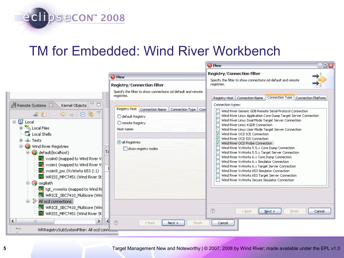## TM for Embedded: Wind River Workbench

eclipsecon 2008

|                                                                                                                                                                                                                                                                                                                                                                                                                                                                                                                                                                                                                                                                                                                                                                                                                                                                                                                                                                                                        |                                                                                                                                                          | $\blacksquare$ $\blacksquare$<br><b>O</b> New                                                                                                                                                                                                                                                                                                                                                                                                                                                                                                                                                                                                                                                                                                                                                                           |  |  |
|--------------------------------------------------------------------------------------------------------------------------------------------------------------------------------------------------------------------------------------------------------------------------------------------------------------------------------------------------------------------------------------------------------------------------------------------------------------------------------------------------------------------------------------------------------------------------------------------------------------------------------------------------------------------------------------------------------------------------------------------------------------------------------------------------------------------------------------------------------------------------------------------------------------------------------------------------------------------------------------------------------|----------------------------------------------------------------------------------------------------------------------------------------------------------|-------------------------------------------------------------------------------------------------------------------------------------------------------------------------------------------------------------------------------------------------------------------------------------------------------------------------------------------------------------------------------------------------------------------------------------------------------------------------------------------------------------------------------------------------------------------------------------------------------------------------------------------------------------------------------------------------------------------------------------------------------------------------------------------------------------------------|--|--|
|                                                                                                                                                                                                                                                                                                                                                                                                                                                                                                                                                                                                                                                                                                                                                                                                                                                                                                                                                                                                        | <b>O</b> New                                                                                                                                             | <b>Registry/Connection Filter</b><br>Specify the filter to show connections od default and remote<br>registries.                                                                                                                                                                                                                                                                                                                                                                                                                                                                                                                                                                                                                                                                                                        |  |  |
|                                                                                                                                                                                                                                                                                                                                                                                                                                                                                                                                                                                                                                                                                                                                                                                                                                                                                                                                                                                                        | <b>Registry/Connection Filter</b>                                                                                                                        |                                                                                                                                                                                                                                                                                                                                                                                                                                                                                                                                                                                                                                                                                                                                                                                                                         |  |  |
|                                                                                                                                                                                                                                                                                                                                                                                                                                                                                                                                                                                                                                                                                                                                                                                                                                                                                                                                                                                                        | Specify the filter to show connections od default and remote<br>registries.                                                                              | Connection Type   Connection Platform<br>Registry Host   Connection Name                                                                                                                                                                                                                                                                                                                                                                                                                                                                                                                                                                                                                                                                                                                                                |  |  |
| $\Box$<br>山 Remote Systems 8<br>Kernel Objects<br>$\begin{array}{c} \textcolor{red}{\textbf{\#}} \textcolor{blue}{\textbf{\#}} \textcolor{blue}{\textbf{\#}} \textcolor{blue}{\textbf{\#}} \textcolor{blue}{\textbf{\#}} \textcolor{blue}{\textbf{\#}} \textcolor{blue}{\textbf{\#}} \textcolor{blue}{\textbf{\#}} \textcolor{blue}{\textbf{\#}} \textcolor{blue}{\textbf{\#}} \textcolor{blue}{\textbf{\#}} \textcolor{blue}{\textbf{\#}} \textcolor{blue}{\textbf{\#}} \textcolor{blue}{\textbf{\#}} \textcolor{blue}{\textbf{\#}} \textcolor{blue}{\textbf{\#}} \textcolor{blue}{\textbf{\#}} \textcolor{blue}{\textbf$<br>⊟ <b>⊑i</b> Local<br>电 <sup>点</sup> Local Files<br>Q Local Shells<br>⊞‴≔ఊ Tests<br>Wind River Registries<br>default(localhost)<br>图 vxsim0 (mapped to Wind River V:<br>wxsim1 (mapped to Wind River V:<br>图 vxsim9_psc (VxWorks 653 2.1)<br>WRISS_MPC7451 (Wind River St<br><b>D</b> sgiliath<br>to Wind Ri<br>WRICE_SBC7410_Multicore (Win<br>승 - 유 All ocd connections | Registry Host   Connection Name<br>Connection Type Con<br>◯ default Registry<br>O remote Registry<br>Host name:<br>all Registries<br>show registry nodes | Connection types:<br>Wind River Generic GDB Remote Serial Protocol Connection<br>Wind River Linux Application Core Dump Target Server Connection<br>Wind River Linux Dual Mode Target Server Connection<br>Wind River Linux KGDB Connection<br>Wind River Linux User Mode Target Server Connection<br>Wind River OCD ICE Connection<br>Wind River OCD ISS Connection<br>☑<br>Wind River OCD Probe Connection<br>Wind River VxWorks 5.5.x Core Dump Connection<br>Wind River VxWorks 5.5.x Target Server Connection<br>Wind River VxWorks 6.x Core Dump Connection<br>Wind River VxWorks 6.x Simulator Connection<br>Wind River VxWorks 6.x Target Server Connection<br>Wind River VxWorks 653 Simulator Connection<br>Wind River VxWorks 653 Target Server Connection<br>Wind River VxWorks Secure Simulator Connection |  |  |
| WRICE_SBC7410_Multicore (Win<br>WRISS_MPC7451 (Wind River St                                                                                                                                                                                                                                                                                                                                                                                                                                                                                                                                                                                                                                                                                                                                                                                                                                                                                                                                           |                                                                                                                                                          | $\circledR$<br>$N$ ext ><br>Finish<br>$<$ Back<br>Cancel                                                                                                                                                                                                                                                                                                                                                                                                                                                                                                                                                                                                                                                                                                                                                                |  |  |
| $\left  \left\langle \right\rangle \right $<br>≯<br>$\  \cdot \ $<br>ΠŶ<br>WRRegistrySubSystemFilter: All ocd connl <del>ums</del>                                                                                                                                                                                                                                                                                                                                                                                                                                                                                                                                                                                                                                                                                                                                                                                                                                                                     | $\circledR$<br>$<$ Back<br>Next<br>Finish                                                                                                                | Cancel                                                                                                                                                                                                                                                                                                                                                                                                                                                                                                                                                                                                                                                                                                                                                                                                                  |  |  |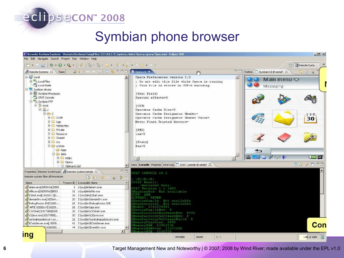### eclipsecon" 2008

### Symbian phone browser



**6** Target Management New and Noteworthy | © 2007, 2008 by Wind River; made available under the EPL v1.0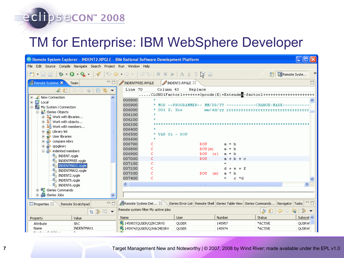#### eclipsecon 2008

## TM for Enterprise: IBM WebSphere Developer

| <sup>©</sup> Remote System Explorer - INDENT2.RPGLE - IBM Rational Software Development Platform                                                                                            |                                                                                                      |                         |                |                          |               |  |  |
|---------------------------------------------------------------------------------------------------------------------------------------------------------------------------------------------|------------------------------------------------------------------------------------------------------|-------------------------|----------------|--------------------------|---------------|--|--|
| File Edit Source Compile Navigate Search Project Run Window Help                                                                                                                            |                                                                                                      |                         |                |                          |               |  |  |
| <b>ð. ∏ ≜ │ ⋡ • ⊙ • Q. • │ ∥ │ ∿ ◇ • ↔</b> • │ ∅ ∾│ ▣ ▣ ►│ ∆ ∄ ፣ ⊠ 全 ଲ                                                                                                                      |                                                                                                      |                         |                | ■ <b>En</b> Remote Syste | $\rightarrow$ |  |  |
| $\blacksquare$<br>Remote Systems X<br>Team                                                                                                                                                  | INDENTFREE.RPGLE                                                                                     | <b>INDENT2.RPGLE 23</b> |                |                          | 目             |  |  |
| $\begin{tabular}{c} \bf \textcolor{red}{\# 8} & $\Leftrightarrow \Leftrightarrow \textcolor{red}{\otimes} \textcolor{green}{  \; \Box \; \Phi }$ \end{tabular}$<br>$\overline{\phantom{a}}$ | Line 70<br>Column 43<br>Replace                                                                      |                         |                |                          |               |  |  |
| H…_ <mark>L</mark> New Connection                                                                                                                                                           | CLONO1Factor1++++++++Opcode(E)+Extendea-factor2++++++++++++++++++++++++++++                          |                         |                |                          |               |  |  |
|                                                                                                                                                                                             | 005800                                                                                               |                         |                |                          |               |  |  |
| 中 <b>目</b> Local<br>中 <b>晶</b> My System i Connection                                                                                                                                       | 005900<br>* MOD --PROGRAMMER-- MM/DD/YY ------------CHANGE-MADE-                                     |                         |                |                          |               |  |  |
| option of the interior                                                                                                                                                                      | 006000<br>* 001 X. Xxx                                                                               |                         |                |                          |               |  |  |
| $\mathbb{H}^{\mathbb{Z}_2^{\bullet+}}$ Work with libraries                                                                                                                                  | 006100<br>$\pm$                                                                                      |                         |                |                          |               |  |  |
| 由 23 Work with objects                                                                                                                                                                      | 006200                                                                                               |                         |                |                          |               |  |  |
| … ▲ Work with members                                                                                                                                                                       | 006300<br>006400                                                                                     |                         |                |                          |               |  |  |
| ⊹ <mark>ਵੱ</mark> ≵ Library list                                                                                                                                                            | * VAR $01 -$ DOU<br>006500                                                                           |                         |                |                          |               |  |  |
| ं User libraries                                                                                                                                                                            | 006600                                                                                               |                         |                |                          |               |  |  |
| <b>⊞</b> allegance mbrs                                                                                                                                                                     | 006700                                                                                               | <b>DOU</b>              | $a = b$        |                          |               |  |  |
| 由 orpglesrc                                                                                                                                                                                 | 006800<br>C                                                                                          | DOU(m)                  | $a = b$        |                          |               |  |  |
| indented members<br><sup>0</sup> <sup>2</sup> INDENT.rpgle                                                                                                                                  | 006900<br>Ċ                                                                                          | $DOU$ $(r)$             | $a = b$        |                          |               |  |  |
| <b>G</b> INDENTFREE.rpgle                                                                                                                                                                   | 007000<br>C                                                                                          | <b>DOU</b>              | $a + b + c$    |                          |               |  |  |
| <b>Ta</b> INDENTMAX1.rpgle                                                                                                                                                                  | 007100<br>C                                                                                          |                         | $=$            |                          |               |  |  |
| <sup>C</sup> a INDENTMAX2.rpgle                                                                                                                                                             | 007200                                                                                               |                         | $d + e + f$    |                          |               |  |  |
| <sup>0</sup> <sup>1</sup> INDENT2.rpgle                                                                                                                                                     | 007300                                                                                               | DOU.                    | a * b<br>(m)   |                          |               |  |  |
| <b>G</b> INDENTS.rpgle                                                                                                                                                                      | 007400<br>C                                                                                          |                         | $c * d$<br>$=$ |                          |               |  |  |
| <b>G</b> INDENT6.rpgle                                                                                                                                                                      | ≺                                                                                                    | $-100$                  |                |                          |               |  |  |
| <sup>…国</sup> 文 iSeries Commands                                                                                                                                                            |                                                                                                      |                         |                |                          |               |  |  |
| iSeries Jobs                                                                                                                                                                                |                                                                                                      |                         |                |                          |               |  |  |
| 一日<br><b>E</b> Properties 23<br>Remote Scratchpad                                                                                                                                           | Remote System Det & Series Error List Remote Shell Series Table View Series Commands Navigator Tasks |                         |                |                          | $=$ $E$       |  |  |
| Remote system filter My active jobs<br>,全<br>동의 수수<br>ଢ<br>日常国▼                                                                                                                             |                                                                                                      |                         |                |                          |               |  |  |
| Value<br>Property                                                                                                                                                                           | Name                                                                                                 | User                    | Number         | Status                   | Subsyst <     |  |  |
| Attribute<br><b>SRC</b>                                                                                                                                                                     | <b>G</b> 145957/QUSER/QZRCSRVS                                                                       | QUSER                   | 145957         | *ACTIVE                  | QUSRW-        |  |  |
| INDENTMAX1<br>Name<br>the conditions of the distribution                                                                                                                                    | <b>S</b> 145974/QUSER/QJVACMDSRV                                                                     | <b>OUSER</b>            | 145974         | *ACTIVE                  | QUSRW         |  |  |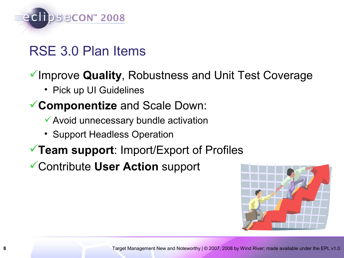

## RSE 3.0 Plan Items

#### Improve **Quality**, Robustness and Unit Test Coverage

• Pick up UI Guidelines

#### **Componentize** and Scale Down:

- Avoid unnecessary bundle activation
- Support Headless Operation
- **Team support**: Import/Export of Profiles

Contribute **User Action** support

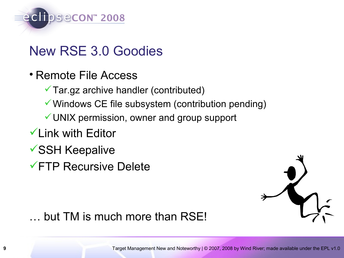

## New RSE 3.0 Goodies

- Remote File Access
	- Tar.gz archive handler (contributed)
	- Windows CE file subsystem (contribution pending)
	- UNIX permission, owner and group support
- Link with Editor
- SSH Keepalive
- FTP Recursive Delete



… but TM is much more than RSE!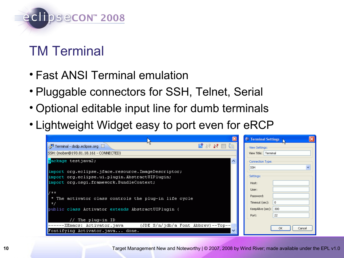

# TM Terminal

- Fast ANSI Terminal emulation
- Pluggable connectors for SSH, Telnet, Serial
- Optional editable input line for dumb terminals
- Lightweight Widget easy to port even for eRCP

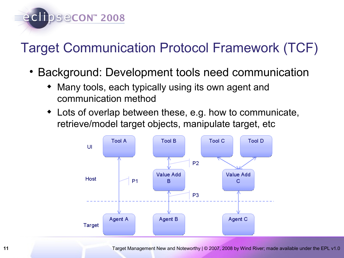

# Target Communication Protocol Framework (TCF)

- Background: Development tools need communication
	- Many tools, each typically using its own agent and communication method
	- Lots of overlap between these, e.g. how to communicate, retrieve/model target objects, manipulate target, etc



11 **11** Target Management New and Noteworthy | © 2007, 2008 by Wind River; made available under the EPL v1.0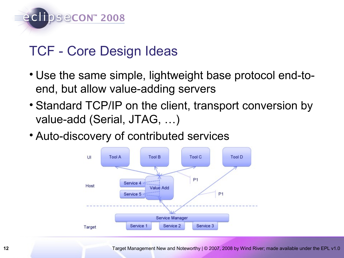

## TCF - Core Design Ideas

- Use the same simple, lightweight base protocol end-toend, but allow value-adding servers
- Standard TCP/IP on the client, transport conversion by value-add (Serial, JTAG, …)
- Auto-discovery of contributed services

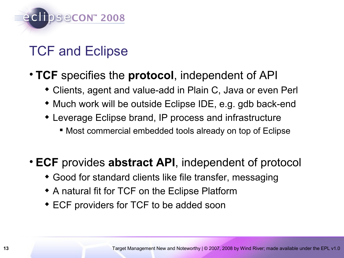

# TCF and Eclipse

#### • **TCF** specifies the **protocol**, independent of API

- Clients, agent and value-add in Plain C, Java or even Perl
- Much work will be outside Eclipse IDE, e.g. gdb back-end
- Leverage Eclipse brand, IP process and infrastructure
	- Most commercial embedded tools already on top of Eclipse

#### • **ECF** provides **abstract API**, independent of protocol

- Good for standard clients like file transfer, messaging
- A natural fit for TCF on the Eclipse Platform
- ECF providers for TCF to be added soon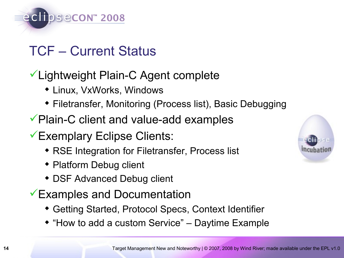

## TCF – Current Status

### Lightweight Plain-C Agent complete

- Linux, VxWorks, Windows
- Filetransfer, Monitoring (Process list), Basic Debugging
- Plain-C client and value-add examples
- Exemplary Eclipse Clients:
	- RSE Integration for Filetransfer, Process list
	- Platform Debug client
	- DSF Advanced Debug client
- Examples and Documentation
	- Getting Started, Protocol Specs, Context Identifier
	- "How to add a custom Service" Daytime Example

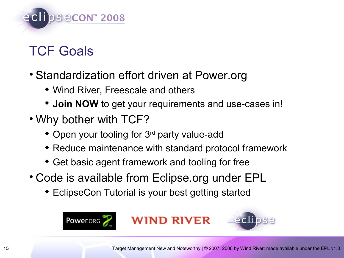

# TCF Goals

- Standardization effort driven at Power.org
	- Wind River, Freescale and others
	- **Join NOW** to get your requirements and use-cases in!
- Why bother with TCF?
	- Open your tooling for 3<sup>rd</sup> party value-add
	- Reduce maintenance with standard protocol framework
	- Get basic agent framework and tooling for free
- Code is available from Eclipse.org under EPL
	- EclipseCon Tutorial is your best getting started





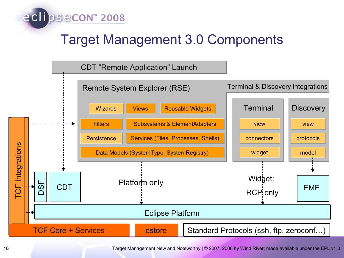

## Target Management 3.0 Components



**16** Target Management New and Noteworthy | © 2007, 2008 by Wind River; made available under the EPL v1.0